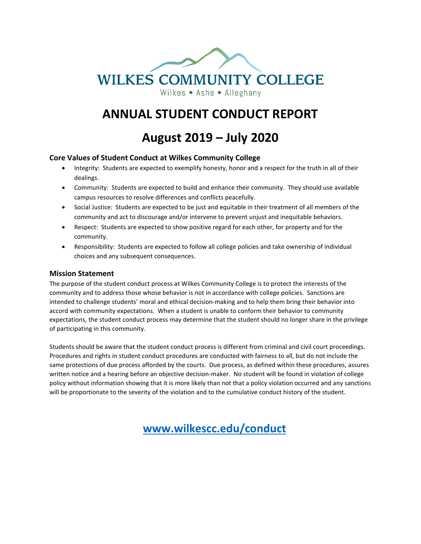

# **ANNUAL STUDENT CONDUCT REPORT**

**August 2019 – July 2020**

#### **Core Values of Student Conduct at Wilkes Community College**

- Integrity: Students are expected to exemplify honesty, honor and a respect for the truth in all of their dealings.
- Community: Students are expected to build and enhance their community. They should use available campus resources to resolve differences and conflicts peacefully.
- Social Justice: Students are expected to be just and equitable in their treatment of all members of the community and act to discourage and/or intervene to prevent unjust and inequitable behaviors.
- Respect: Students are expected to show positive regard for each other, for property and for the community.
- Responsibility: Students are expected to follow all college policies and take ownership of individual choices and any subsequent consequences.

#### **Mission Statement**

The purpose of the student conduct process at Wilkes Community College is to protect the interests of the community and to address those whose behavior is not in accordance with college policies. Sanctions are intended to challenge students' moral and ethical decision-making and to help them bring their behavior into accord with community expectations. When a student is unable to conform their behavior to community expectations, the student conduct process may determine that the student should no longer share in the privilege of participating in this community.

Students should be aware that the student conduct process is different from criminal and civil court proceedings. Procedures and rights in student conduct procedures are conducted with fairness to all, but do not include the same protections of due process afforded by the courts. Due process, as defined within these procedures, assures written notice and a hearing before an objective decision-maker. No student will be found in violation of college policy without information showing that it is more likely than not that a policy violation occurred and any sanctions will be proportionate to the severity of the violation and to the cumulative conduct history of the student.

 **[www.wilkescc.edu/conduct](http://www.wilkescc.edu/conduct)**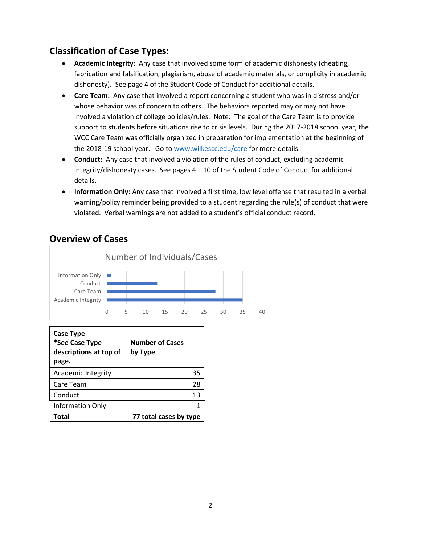#### **Classification of Case Types:**

- **Academic Integrity:** Any case that involved some form of academic dishonesty (cheating, fabrication and falsification, plagiarism, abuse of academic materials, or complicity in academic dishonesty). See page 4 of the Student Code of Conduct for additional details.
- **Care Team:** Any case that involved a report concerning a student who was in distress and/or whose behavior was of concern to others. The behaviors reported may or may not have involved a violation of college policies/rules. Note: The goal of the Care Team is to provide support to students before situations rise to crisis levels. During the 2017-2018 school year, the WCC Care Team was officially organized in preparation for implementation at the beginning of the 2018-19 school year. Go to [www.wilkescc.edu/care](http://www.wilkescc.edu/care) for more details.
- **Conduct:** Any case that involved a violation of the rules of conduct, excluding academic integrity/dishonesty cases. See pages 4 – 10 of the Student Code of Conduct for additional details.
- **Information Only:** Any case that involved a first time, low level offense that resulted in a verbal warning/policy reminder being provided to a student regarding the rule(s) of conduct that were violated. Verbal warnings are not added to a student's official conduct record.



#### **Overview of Cases**

| <b>Case Type</b><br>*See Case Type<br>descriptions at top of<br>page. | <b>Number of Cases</b><br>by Type |
|-----------------------------------------------------------------------|-----------------------------------|
| <b>Academic Integrity</b>                                             | 35                                |
| Care Team                                                             | 28                                |
| Conduct                                                               | 13                                |
| Information Only                                                      |                                   |
| Total                                                                 | 77 total cases by type            |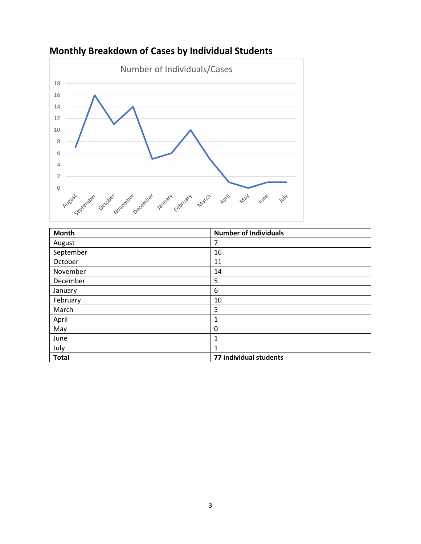

## **Monthly Breakdown of Cases by Individual Students**

| Month        | <b>Number of Individuals</b> |
|--------------|------------------------------|
| August       | 7                            |
| September    | 16                           |
| October      | 11                           |
| November     | 14                           |
| December     | 5                            |
| January      | 6                            |
| February     | 10                           |
| March        | 5                            |
| April        | 1                            |
| May          | 0                            |
| June         | 1                            |
| July         | 1                            |
| <b>Total</b> | 77 individual students       |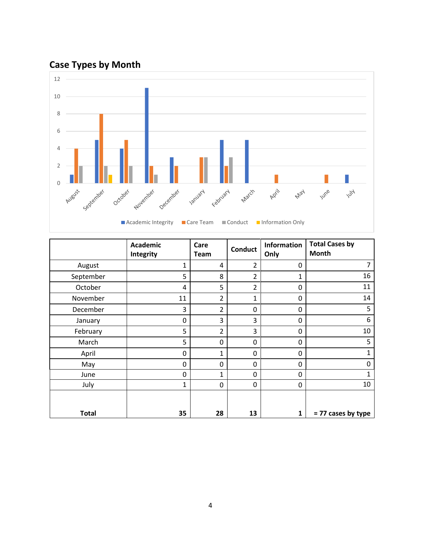# **Case Types by Month**



|              | <b>Academic</b><br>Integrity | Care<br>Team   | <b>Conduct</b> | <b>Information</b><br>Only | <b>Total Cases by</b><br>Month |
|--------------|------------------------------|----------------|----------------|----------------------------|--------------------------------|
| August       | 1                            | 4              | $\overline{2}$ | 0                          |                                |
| September    | 5                            | 8              | $\overline{2}$ | 1                          | 16                             |
| October      | 4                            | 5              | $\overline{2}$ | 0                          | 11                             |
| November     | 11                           | $\overline{2}$ | $\mathbf{1}$   | 0                          | 14                             |
| December     | 3                            | $\overline{2}$ | 0              | 0                          | 5                              |
| January      | 0                            | 3              | 3              | 0                          | 6                              |
| February     | 5                            | $\overline{2}$ | 3              | 0                          | 10                             |
| March        | 5                            | 0              | 0              | 0                          | 5                              |
| April        | 0                            | $\mathbf{1}$   | 0              | 0                          | 1                              |
| May          | 0                            | 0              | 0              | 0                          | $\Omega$                       |
| June         | 0                            | $\mathbf{1}$   | 0              | 0                          | 1                              |
| July         | 1                            | 0              | 0              | 0                          | 10                             |
| <b>Total</b> | 35                           | 28             | 13             | 1                          | = 77 cases by type             |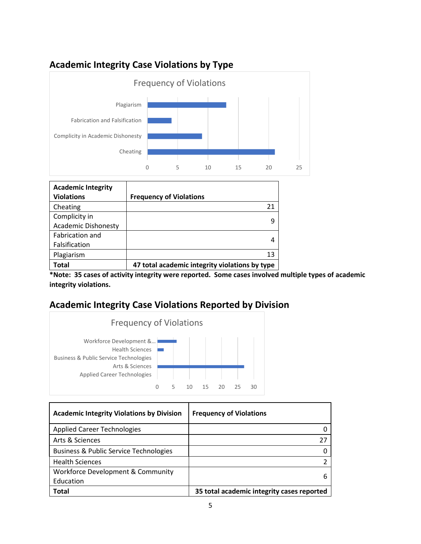#### **Academic Integrity Case Violations by Type**



| <b>Academic Integrity</b><br><b>Violations</b> | <b>Frequency of Violations</b>                 |
|------------------------------------------------|------------------------------------------------|
| Cheating                                       | 21                                             |
| Complicity in                                  | q                                              |
| <b>Academic Dishonesty</b>                     |                                                |
| Fabrication and                                |                                                |
| Falsification                                  | 4                                              |
| Plagiarism                                     | 13                                             |
| Total                                          | 47 total academic integrity violations by type |

**\*Note: 35 cases of activity integrity were reported. Some cases involved multiple types of academic integrity violations.** 

#### **Academic Integrity Case Violations Reported by Division**



| <b>Academic Integrity Violations by Division</b>  | <b>Frequency of Violations</b>             |
|---------------------------------------------------|--------------------------------------------|
| <b>Applied Career Technologies</b>                |                                            |
| Arts & Sciences                                   |                                            |
| <b>Business &amp; Public Service Technologies</b> |                                            |
| <b>Health Sciences</b>                            |                                            |
| Workforce Development & Community<br>Education    |                                            |
| Total                                             | 35 total academic integrity cases reported |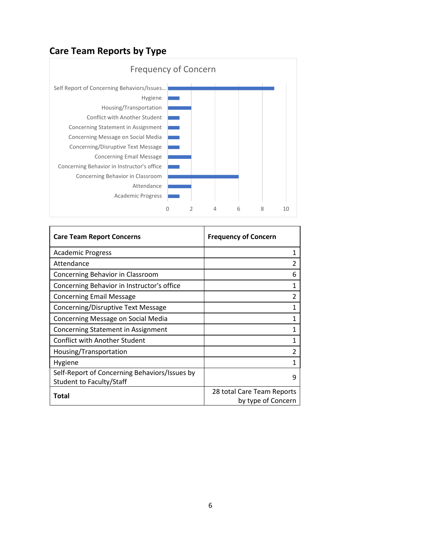### **Care Team Reports by Type**



| <b>Care Team Report Concerns</b>                                                 | <b>Frequency of Concern</b>                      |
|----------------------------------------------------------------------------------|--------------------------------------------------|
| <b>Academic Progress</b>                                                         | 1                                                |
| Attendance                                                                       |                                                  |
| Concerning Behavior in Classroom                                                 | 6                                                |
| Concerning Behavior in Instructor's office                                       | 1                                                |
| <b>Concerning Email Message</b>                                                  |                                                  |
| Concerning/Disruptive Text Message                                               |                                                  |
| Concerning Message on Social Media                                               | 1                                                |
| Concerning Statement in Assignment                                               |                                                  |
| <b>Conflict with Another Student</b>                                             |                                                  |
| Housing/Transportation                                                           | 2                                                |
| Hygiene                                                                          |                                                  |
| Self-Report of Concerning Behaviors/Issues by<br><b>Student to Faculty/Staff</b> | q                                                |
| Total                                                                            | 28 total Care Team Reports<br>by type of Concern |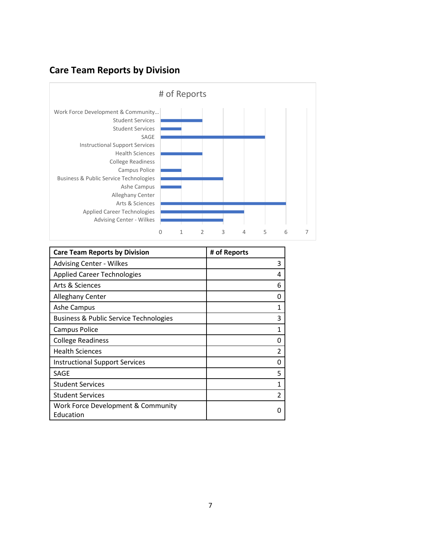## **Care Team Reports by Division**



| <b>Care Team Reports by Division</b>              | # of Reports   |
|---------------------------------------------------|----------------|
| <b>Advising Center - Wilkes</b>                   | 3              |
| <b>Applied Career Technologies</b>                | 4              |
| Arts & Sciences                                   | 6              |
| <b>Alleghany Center</b>                           | O              |
| Ashe Campus                                       | 1              |
| <b>Business &amp; Public Service Technologies</b> | 3              |
| Campus Police                                     | 1              |
| <b>College Readiness</b>                          | O              |
| <b>Health Sciences</b>                            | 2              |
| <b>Instructional Support Services</b>             | 0              |
| <b>SAGE</b>                                       | 5              |
| <b>Student Services</b>                           | 1              |
| <b>Student Services</b>                           | $\mathfrak{p}$ |
| Work Force Development & Community<br>Education   | 0              |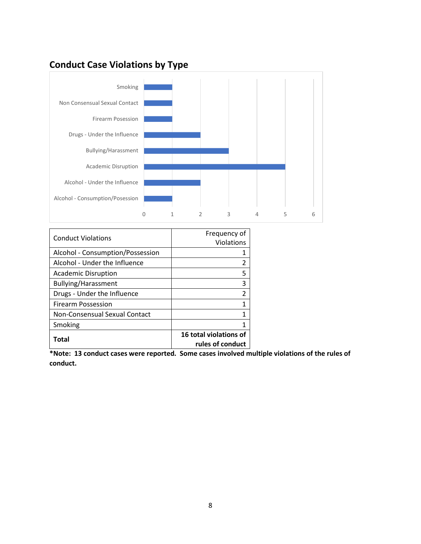### **Conduct Case Violations by Type**



| <b>Conduct Violations</b>        | Frequency of<br><b>Violations</b>          |
|----------------------------------|--------------------------------------------|
| Alcohol - Consumption/Possession |                                            |
| Alcohol - Under the Influence    | 2                                          |
| <b>Academic Disruption</b>       | 5                                          |
| Bullying/Harassment              | 3                                          |
| Drugs - Under the Influence      | 2                                          |
| <b>Firearm Possession</b>        | $\mathbf{1}$                               |
| Non-Consensual Sexual Contact    | 1                                          |
| Smoking                          | 1                                          |
| Total                            | 16 total violations of<br>rules of conduct |

**\*Note: 13 conduct cases were reported. Some cases involved multiple violations of the rules of conduct.**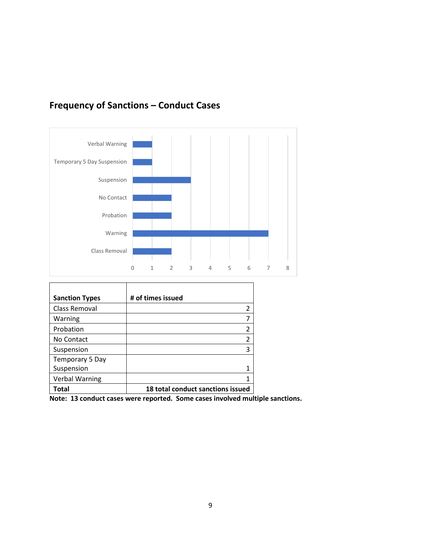

### **Frequency of Sanctions – Conduct Cases**

| <b>Sanction Types</b> | # of times issued                 |
|-----------------------|-----------------------------------|
| Class Removal         | $\overline{2}$                    |
| Warning               | 7                                 |
| Probation             | 2                                 |
| No Contact            | $\overline{2}$                    |
| Suspension            | 3                                 |
| Temporary 5 Day       |                                   |
| Suspension            | 1                                 |
| <b>Verbal Warning</b> | 1                                 |
| Total                 | 18 total conduct sanctions issued |

**Note: 13 conduct cases were reported. Some cases involved multiple sanctions.**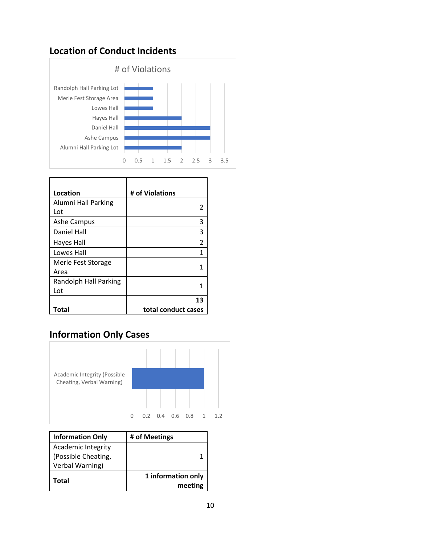### **Location of Conduct Incidents**



| Location              | # of Violations     |
|-----------------------|---------------------|
| Alumni Hall Parking   | 2                   |
| Lot                   |                     |
| <b>Ashe Campus</b>    | 3                   |
| Daniel Hall           | 3                   |
| Hayes Hall            | $\mathfrak{p}$      |
| Lowes Hall            | 1                   |
| Merle Fest Storage    | 1                   |
| Area                  |                     |
| Randolph Hall Parking | 1                   |
| Lot                   |                     |
|                       | 13                  |
| Total                 | total conduct cases |

## **Information Only Cases**



| <b>Information Only</b>                                      | # of Meetings                 |
|--------------------------------------------------------------|-------------------------------|
| Academic Integrity<br>(Possible Cheating,<br>Verbal Warning) |                               |
| Total                                                        | 1 information only<br>meeting |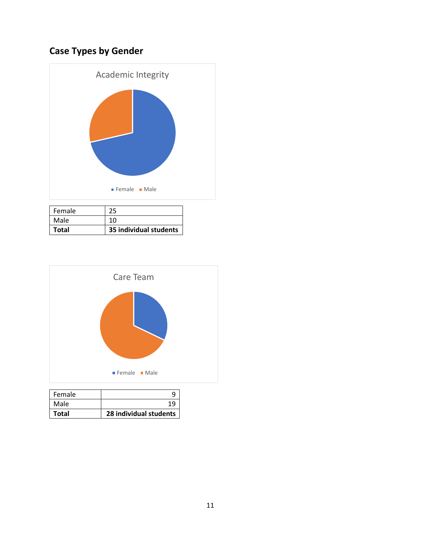# **Case Types by Gender**



| Female<br>Male | 10.                    |
|----------------|------------------------|
| Total          | 35 individual students |



| Female | q                      |
|--------|------------------------|
| Male   | 19                     |
| Total  | 28 individual students |